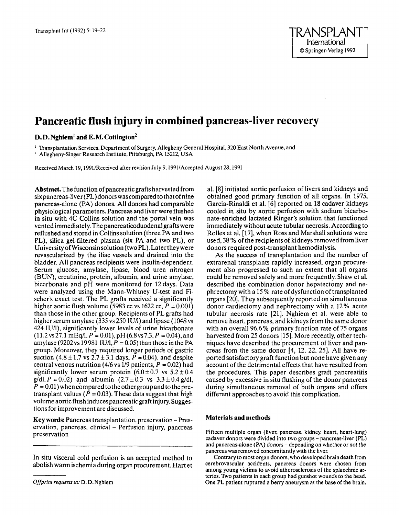# **Pancreatic flush injury in combined pancreas-liver recovery**

## D.D.Nghiem<sup>1</sup> and E.M. Cottington<sup>2</sup>

<sup>1</sup> Transplantation Services, Department of Surgery, Allegheny General Hospital, 320 East North Avenue, and \* Allegheny-Singer Research Institute, Pittsburgh, PA 15212, **USA** 

Received March 19,199UReceived after revision July 9,199UAccepted August 28,1991

Abstraet.The function of pancreatic grafts harvested from six pancreas-liver(PL)donors wascompared to thatof nine pancreas-alone (PA) donors. All donors had comparable physiological parameters. Pancreas and liver were flushed in situ with 4C Collins solution and the portal vein was vented immediately. The pancreaticoduodenal grafts were reflushed and stored in Collins solution (three PA and two PL), silica gel-filtered plasma (six PA and two PL), or University of Wisconsinsolution (two PL). Laterthey were revascularized by the iliac vessels and drained into the bladder. All pancreas recipients were insulin-dependent. Serum glucose, amylase, lipase, blood urea nitrogen (BUN), creatinine, protein, albumin, and urine amylase, bicarbonate and pH were monitored for 12days. Data were analyzed using the Mann-Whitney U-test and Fischer's exact test. The PL grafts received **a** significantly higher aortic flush volume (5983 cc vs 1622 cc,  $P = 0.001$ ) than those in the other group. Recipients of PL grafts had higher serum amylase (335 vs 250 IU/l) and lipase (1048 vs 424 IU/l), significantly lower levels of urine bicarbonate  $(11.2 \text{ vs } 27.1 \text{ mEq/l}, P = 0.01), pH(6.8 \text{ vs } 7.3, P = 0.04),$  and amylase (9202 vs 19981 IU/l,  $\vec{P} = 0.05$ ) than those in the PA group. Moreover, they required longer periods of gastric suction  $(4.8 \pm 1.7 \text{ vs } 2.7 \pm 3.1 \text{ days}, P = 0.04)$ , and despite central venous nutrition (4/6 vs  $1/9$  patients,  $P = 0.02$ ) had significantly lower serum protein  $(6.0 \pm 0.7 \text{ vs } 5.2 \pm 0.4 \text{ s})$  $g/dl$ ,  $P = 0.02$ ) and albumin  $(2.7 \pm 0.3 \text{ vs } 3.3 \pm 0.4 \text{ g/dl})$ ,  $P = 0.01$ ) when compared to the other group and to the pretransplant values  $(P = 0.03)$ . These data suggest that high volume aortic flush induces pancreatic graft injury. Suggestions for improvement are discussed.

Key words: Pancreas transplantation, preservation - Preservation, pancreas, clinical – Perfusion injury, pancreas preservation

In situ visceral cold perfusion is an accepted method to abolish warm ischemia during organ procurement. Hart et al. [8] initiated aortic perfusion of livers and kidneys and obtained good primary function of all organs. In 1975, Garcia-Rinaldi et al. [6] reported on 18 cadaver kidneys cooled in situ by aortic perfusion with sodium bicarbonate-enriched lactated Ringer's solution that functioned immediately without acute tubular necrosis. According to Rolles et al. [17], when **Ross** and Marshall solutions were used, 38% of the recipients of kidneys removed from liver donors required post-transplant hemodialysis.

As the success of transplantation and the number of extrarenal transplants rapidly increased, organ procurement also progressed to such an extent that all organs could be removed safely and more frequently. Shaw et al. described the combination donor hepatectomy and nephrectomy with a 15% rate of dysfunction of transplanted organs [20]. They subsequently reported on simultaneous donor cardiectomy and nephrectomy with a 12% acute tubular necrosis rate [21]. Nghiem et al. were able to remove heart, pancreas, and kidneys from the same donor with an overall 96.6% primary function rate of 75 organs harvested from 25 donors [15]. More recently, other techniques have described the procurement of liver and pancreas from the same donor  $[4, 12, 22, 25]$ . All have reported satisfactory graft function but none have given any account of the detrimental effects that have resulted from the procedures. This paper describes graft pancreatitis caused by excessive in situ flushing of the donor pancreas during simultaneous removal of both organs and offers different approaches to avoid this complication.

#### Materials and methods

Fifteen multiple organ (liver, pancreas, kidney, heart, heart-lung) cadaver donors were divided into two groups - pancreas-liver (PL) and pancreas-alone (PA) donors – depending on whether or not the pancreas was removed concomitantly with the liver.

Contrary to most organ donors, who developed brain death from cerebrovascular accidents, pancreas donors were chosen from among young victims to avoid atherosclerosis of the splanchnic arteries. Two patients in each group had gunshot wounds to the head. One PL patient ruptured a berry aneurysm at the base **of** the brain.

*Offprint requests to:* D. D. Nghiem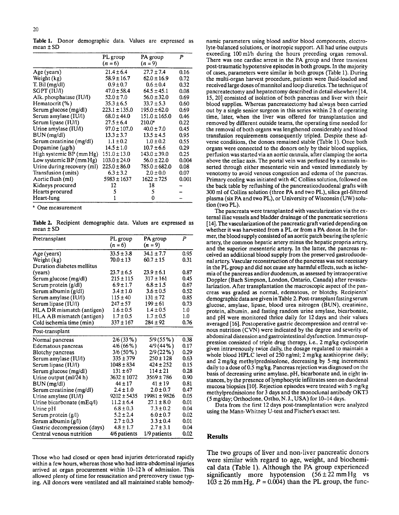Table **1.** Donor demographic data. Values are expressed as mean  $\pm$  SD

|                            | PL group          | PA group          | P     |
|----------------------------|-------------------|-------------------|-------|
|                            | $(n = 6)$         | $(n = 9)$         |       |
| Age (years)                | $21.4 \pm 6.4$    | $27.7 \pm 7.4$    | 0.16  |
| Weight (kg)                | $58.9 \pm 16.7$   | $62.0 \pm 16.9$   | 0.72  |
| $T.$ Bil $(mg/dl)$         | $0.9 \pm 0.7$     | $0.6 \pm 0.4$     | 0.32  |
| SGPT (IUA)                 | $47.0 \pm 58.4$   | $64.5 \pm 45.1$   | 0.08  |
| Alk. phosphatase (IU/l)    | $52.0 \pm 7.0$    | $56.0 \pm 32.0$   | 0.69  |
| Hematocrit (%)             | $35.3 \pm 6.5$    | $33.7 \pm 5.3$    | 0.60  |
| Serum glucose (mg/dl)      | $223.1 \pm 135.0$ | $195.0 \pm 62.0$  | 0.69  |
| Serum amylase (IU/l)       | $68.0 \pm 44.0$   | $151.0 \pm 165.0$ | 0.46  |
| Serum lipase (IU/l)        | $27.5 \pm 6.4$    | $210.0^*$         | 0.22  |
| Urine amylase (IU/l)       | $97.0 \pm 107.0$  | $40.0 \pm 7.0$    | 0.45  |
| BUN(mg/dl)                 | $13.3 \pm 3.7$    | $13.5 \pm 4.5$    | 0.95  |
| Serum creatinine (mg/dl)   | $1.1 \pm 0.2$     | $1.0 \pm 0.2$     | 0.55  |
| Dopamine $(\mu g/h)$       | $14.5 \pm 1.0$    | $10.7 \pm 6.6$    | 0.29  |
| High systemic BP (mm Hg)   | $151.0 \pm 13.0$  | $143.0 \pm 39.0$  | 0.25  |
| Low systemic BP (mm Hg)    | $103.0 \pm 24.0$  | $56.0 \pm 22.0$   | 0.004 |
| Urine during recovery (ml) | $225.0 \pm 86.0$  | $785.0 \pm 682.0$ | 0.08  |
| Transfusion (units)        | $6.3 \pm 3.2$     | $2.0 \pm 0.0$     | 0.07  |
| Aortic flush (ml)          | $5983 \pm 1637$   | $1622 \pm 725$    | 0.001 |
| Kidneys procured           | 12                | 18                |       |
| Hearts procured            | 5                 | 5                 |       |
| Heart-lung                 |                   | 0                 |       |

One measurement

Table **2.** Recipient demographic data. Values are expressed as mean **f** SD

| Pretransplant                                          | PL group<br>$(n = 6)$ | PA group<br>$(n = 9)$ | P    |
|--------------------------------------------------------|-----------------------|-----------------------|------|
|                                                        | $33.5 \pm 3.8$        | $34.1 \pm 7.7$        | 0.95 |
| Age (years)                                            | $70.0 \pm 13$         | $60.7 \pm 15$         | 0.31 |
| Weight (kg)<br>Duration diabetes mellitus              |                       |                       |      |
|                                                        | $23.7 \pm 6.5$        | $23.9 \pm 6.1$        | 0.87 |
| (years)                                                | $215 \pm 115$         | $317 \pm 161$         | 0.45 |
| Serum glucose (mg/dl)                                  | $6.9 \pm 1.7$         | $6.8 \pm 1.5$         | 0.67 |
| Serum protein (g/dl)                                   | $3.4 \pm 1.0$         | $3.6 \pm 0.5$         | 0.52 |
| Serum albumin (g/dl)                                   | $115 \pm 40$          | $131 \pm 72$          | 0.85 |
| Serum amylase (IU/l)                                   | $247 \pm 57$          | $199 \pm 61$          | 0.73 |
| Serum lipase (IU/l)                                    | $1.6 \pm 0.5$         | $1.4 \pm 0.5$         | 1.0  |
| HLA DR mismatch (antigen)<br>HLA AB mismatch (antigen) | $1.7 \pm 0.5$         | $1.7 \pm 0.5$         | 1.0  |
| Cold ischemia time (min)                               | $337 \pm 167$         | $284 \pm 92$          | 0.76 |
|                                                        |                       |                       |      |
| Post-transplant                                        |                       |                       |      |
| Normal pancreas                                        | $2/6(33\%)$           | 5/9(55%)              | 0.38 |
| Edematous pancreas                                     | 4/6(66%)              | 4/9 (44%)             | 0.17 |
| Blotchy pancreas                                       | $3/6(50\%)$           | 2/9(22%)              | 0.29 |
| Serum amylase (IU/l)                                   | $335 \pm 379$         | $250 \pm 128$         | 0.63 |
| Serum lipase (IU/l)                                    | $1048 \pm 834$        | $424 \pm 252$         | 0.15 |
| Serum glucose (mg/dl)                                  | $131 \pm 67$          | $114 \pm 21$          | 0.28 |
| Urine output (ml/24 h)                                 | $3632 \pm 1072$       | $3569 \pm 786$        | 0.90 |
| BUN (mg/dl)                                            | $44 \pm 17$           | $41 \pm 19$           | 0.81 |
| Serum creatinine (mg/dl)                               | $2.4 \pm 1.0$         | $2.0 \pm 0.7$         | 0.47 |
| Urine amylase $(IU/l)$                                 | $9202 \pm 5435$       | $19981 \pm 9826$      | 0.05 |
| Urine bicarbonate (mEq/l)                              | $11.2 \pm 6.4$        | $27.1 \pm 8.0$        | 0.01 |
| Urine pH                                               | $6.8 \pm 0.3$         | $7.3 \pm 0.2$         | 0.04 |
| Serum protein $(g/I)$                                  | $5.2 \pm 2.4$         | $6.0 \pm 0.7$         | 0.02 |
| Serum albumin $(g/l)$                                  | $2.7 \pm 0.3$         | $3.3 \pm 0.4$         | 0.01 |
| Gastric decompression (days)                           | $4.8 \pm 1.7$         | $2.7 \pm 3.1$         | 0.04 |
| Central venous nutrition                               | 4/6 patients          | 1/9 patients          | 0.02 |

Those who had closed or open head injuries deteriorated rapidly within a few hours, whereas those who had intra-abdominal injuries arrived at organ procurement within 10-12 h of admission. This allowed plenty of time for resuscitation and prerecovery tissue typing. All donors were ventilated and all maintained stable hemodynamic parameters using blood and/or blood components, electrolyte-balanced solutions, or inotropic support. All had urine outputs exceeding 100 mllh during the hours preceding organ removal. There was one cardiac arrest in the PA group and three transient post-traumatic hypotensive episodes in both groups. In the majority of cases, parameters were similar in both groups (Table 1). During the multi-organ harvest procedure, patients were fluid-loaded and received large doses of mannitol and loop diuretics. The technique of pancreatectomy and hepatectomy described in detail elsewhere [ 14, 15, 201 consisted of isolation of both pancreas and liver with their blood supplies. Whereas pancreatectomy had always been carried out by a single senior surgeon in this series within 2 h of operating time, later, when the liver was offered **for** transplantation and removed by different outside teams, the operating time needed for the removal of both organs was lengthened considerably and blood transfusion requirements consequently tripled. Despite these adverse conditions, the donors remained stable (Table 1). Once both organs were connected to the donors only by their blood supplies, perfusion was started via an aortic cannula, after clamping the aorta above the celiac axis. The portal vein was perfused by a cannula inserted through either mesenteric vein and vented immediately by venotomy to avoid venous congestion and edema of the pancreas. Primary cooling was initiated with 4C Collins solution, followed on the back table by reflushing of the pancreaticoduodenal grafts with 300 ml of Collins solution (three PA and two PL), silica gel-filtered plasma (six PA and two PL), or University of Wisconsin (UW) solution (two PL).

The pancreata were transplanted with vascularization via the external iliac vessels and bladder drainage of the pancreatic secretions [14]. The vascularization **of** the pancreatic graft varied depending on whether it was harvested from a PL or from a PA donor. **In** the former, the blood supply consisted of an aortic patch bearing the splenic artery, the common hepatic artery minus the hepatic propria artery, and the superior mesenteric artery. **In** the latter, the pancreas re- ceived an additional blood supply from the preserved gastroduodenal artery. Vascular reconstruction of the pancreas was not necessary in the PL group and did not cause any harmful effects, such as ischemia of the pancreas and/or duodenum, as assessed by intraoperative Doppler (Bach Simpson, London, Ontario, Canada) after revascularization. After transplantation the macroscopic aspect of the pancreas was graded as normal. edematous, or blotchy. Recipients' demographicdata aregiveninTable 2. Post-transplant fasting serum glucose, amylase, lipase, blood urea nitrogen (BUN), creatinine, protein, albumin, and fasting random urine amylase, bicarbonate, and pH were monitored thrice daily for 12 days and their values averaged [16]. Postoperative gastric decompression and central venous nutrition (CVN) were indicated by the degree and severity of abdominal distension and gastrointestinal dysfunction. Immunosuppression consisted of triple drug therapy, i.e., 2 mg/kg cyclosporin given intravenously twice daily, the dosage regulated to maintain a whole blood HPLC level of 250 ng/ml; 2 mg/kg azathioprine daily; and 2 mg/kg methylprednisolone, decreasing by 5-mg increments daily to a dose of *0.5* mg/kg. Pancreas rejection was diagnosed on the basis of decreasing urine amylase, pH, bicarbonate and, in eight instances, by the presence of lymphocytic infiltrates seen on duodenal mucosa biopsies [10]. Rejection episodes were treated with 5 mg/kg methylprednisolone for 3 days and the monoclonal antibody OKT3 (5 mg/day; Orthoclone, Ortho, N.J., USA) for 10-14 days.

Data from the first 12 days post-transplantation were analyzed using the Mann-Whitney U-test and Fischer's exact test.

## **Results**

The two groups of liver and non-liver pancreatic donors were similar with regard to age, weight, and biochemical data (Table 1). Although the PA group experienced significantly more hypotension  $(56 \pm 22 \text{ mm Hg} \text{ vs }$  $103 \pm 26$  mmHg,  $P = 0.004$ ) than the PL group, the func-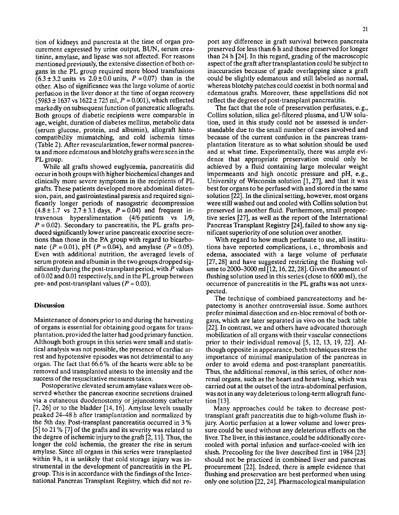tion of kidneys and pancreata at the time of organ procurement expressed by urine output, BUN, serum creatinine, amylase, and lipase was not affected. For reasons mentioned previously, the extensive dissection of both organs in the PL group required more blood transfusions  $(6.3 \pm 3.2 \text{ units} \text{ vs } 2.0 \pm 0.0 \text{ units}, P = 0.07) \text{ than in the}$ other. Also of significance was the large volume of aortic perfusion in the liver donor at the time of organ recovery  $(5983 \pm 1637 \text{ vs } 1622 \pm 725 \text{ ml}, P = 0.001)$ , which reflected markedly on subsequent function of pancreatic allografts. Both groups of diabetic recipients were comparable in age, weight, duration of diabetes mellitus, metabolic data (serum glucose, protein, and albumin), allograft histocompatibility mismatching, and cold ischemia times (Table 2). After revascularization, fewer normal pancreata and more edematous and blotchy grafts were seen in the PL group.

While all grafts showed euglycemia, pancreatitis did occur in both groups with higher biochemical changes and clinically more severe symptoms in the recipients of PL grafts. These patients developed more abdominal distension, pain, and gastrointestinal paresis and required significantly longer periods of nasogastric decompression  $(4.8 \pm 1.7 \text{ vs } 2.7 \pm 3.1 \text{ days}, P = 0.04)$  and frequent intravenous hyperalimentation (4/6 patients vs 1/9,  $P = 0.02$ ). Secondary to pancreatitis, the PL grafts produced significantly lower urine pancreatic exocrine secretions than those in the PA group with regard to bicarbonate  $(P = 0.01)$ , pH  $(P = 0.04)$ , and amylase  $(P = 0.05)$ . Even with additional nutrition, the averaged levels of serum protein and albumin in the two groups dropped significantly during the post-transplant period, with *P* values of 0.02 and 0.01 respectively, and in the PL group between pre- and post-transplant values  $(P = 0.03)$ .

### **Discussion**

Maintenance of donors prior to and during the harvesting of organs is essential for obtaining good organs for transplantation, provided the latter had good primary function. Although both groups in this series were small and statistical analysis was not possible, the presence of cardiac arrest and hypotensive episodes was not detrimental to any organ. The fact that 66.6% of the hearts were able to be removed and transplanted attests to the intensity and the success of the resuscitative measures taken.

Postoperative elevated serum amylase values were observed whether the pancreas exocrine secretions drained via a cutaneous duodenostomy or jejunostomy catheter  $[7, 26]$  or to the bladder  $[14, 16]$ . Amylase levels usually peaked 24-48 h after transplantation and normalized by the 5th day. Post-transplant pancreatitis occurred in 3 % [5] to 21 % [7] of the grafts and its severity was related to the degree of ischemic injury to the graft [2,11]. Thus, the longer the cold ischemia, the greater the rise in serum amylase. Since all organs in this series were transplanted within 9 h, it is unlikely that cold storage injury was instrumental in the development of pancreatitis in the PL group. This is in accordance with the findings of the International Pancreas Transplant Registry, which did not report any difference in graft survival between pancreata preserved for less than 6 h and those preserved for longer than 24 h [24]. In this regard, grading of the macroscopic aspect of the graft after transplantation could be subject to inaccuracies because of grade overlapping since a graft could be slightly edematous and still labeled as normal, whereas blotchy patches could coexist in both normal and edematous grafts. Moreover, these appellations did not reflect the degrees of post-transplant pancreatitis.

The fact that the role of preservation perfusates, e. g., Collins solution, silica gel-filtered plasma, and UW solution, used in this study could not be assessed is understandable due to the small number of cases involved and because of the current confusion in the pancreas transplantation literature as to what solution should be used and at what time. Experimentally, there was ample evidence that appropriate preservation could only be achieved by a fluid containing large molecular weight impermeants and high oncotic pressure and pH, e.g., University of Wisconsin solution  $[1, 27]$ , and that it was best for organs to be perfused with and stored in the same solution [22]. In the clinical setting, however, most organs were still washed out and cooled with Collins solution but preserved in another fluid. Furthermore, small prospective series [27], as well as the report of the International Pancreas Transplant Registry [24], failed to show any significant superiority of one solution over another.

With regard to how much perfusate to use, all institutions have reported complications, i. e., thrombosis and edema, associated with a large volume of perfusate [27,28] and have suggested restricting the flushing volume to 2000-3000 ml[12,16,22,28]. Given the amount of flushing solution used in this series (close to 6000 ml), the occurrence of pancreatitis in the PL grafts was not unexpected.

The technique of combined pancreatectomy and hepatectomy is another controversial issue. Some authors prefer minimal dissection and en-bloc removal of both organs, which are later separated in vivo on the back table [22]. In contrast, we and others have advocated thorough mobilization of all organs with their vascular connections prior to their individual removal [5, 12, 13, 19, 221. Although opposite in appearance, both techniques stress the importance of minimal manipulation of the pancreas in order to avoid edema and post-transplant pancreatitis. Thus, the additional removal, in this series, of other nonrenal organs, such as the heart and heart-lung, which was carried out at the outset of the intra-abdominal perfusion, was not in any way deleterious to long-term allograft function [13].

Many approaches could be taken to decrease posttransplant graft pancreatitis due to high-volume flush injury. Aortic perfusion at a lower volume and lower pressure could be used without any deleterious effects on the liver. The liver, in this instance, could be additionally corecooled with portal infusion and surface-cooled with ice slush. Precooling for the liver described first in 1984 [23] should not be practiced in combined liver and pancreas procurement [22]. Indeed, there is ample evidence that flushing and preservation are best performed when using only one solution [22,24]. Pharmacological manipulation